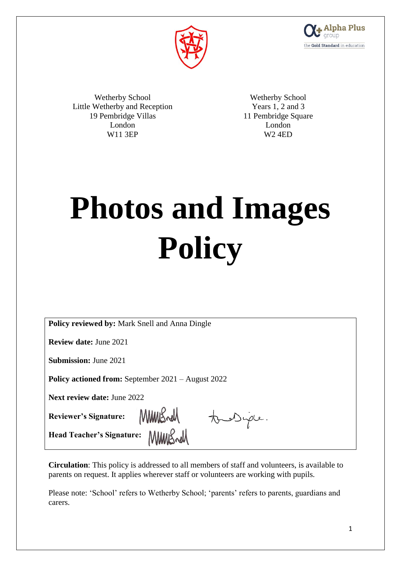



Wetherby School Little Wetherby and Reception 19 Pembridge Villas London W11 3EP

Wetherby School Years 1, 2 and 3 11 Pembridge Square London W2 4ED

# **Photos and Images Policy**

| <b>Policy reviewed by: Mark Snell and Anna Dingle</b>     |
|-----------------------------------------------------------|
| <b>Review date: June 2021</b>                             |
| <b>Submission: June 2021</b>                              |
| <b>Policy actioned from:</b> September 2021 – August 2022 |
| <b>Next review date: June 2022</b>                        |
| MMRSnell<br>Reviewer's Signature:<br>to Diple.            |
| <b>Head Teacher's Signature:</b>                          |
|                                                           |

**Circulation**: This policy is addressed to all members of staff and volunteers, is available to parents on request. It applies wherever staff or volunteers are working with pupils.

Please note: 'School' refers to Wetherby School; 'parents' refers to parents, guardians and carers.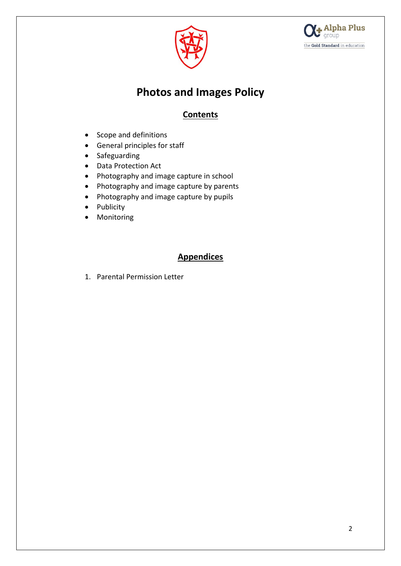



## **Photos and Images Policy**

## **Contents**

- Scope and definitions
- General principles for staff
- Safeguarding
- Data Protection Act
- Photography and image capture in school
- Photography and image capture by parents
- Photography and image capture by pupils
- Publicity
- Monitoring

### **Appendices**

1. Parental Permission Letter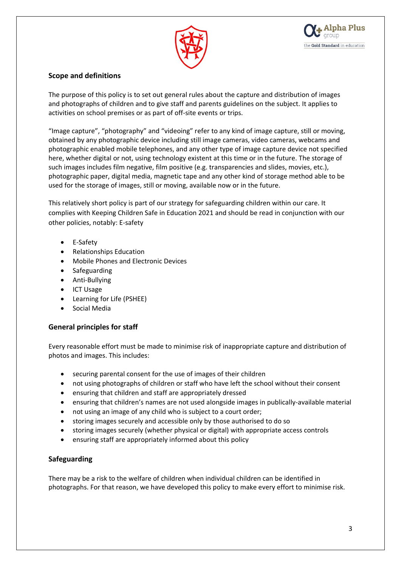



#### **Scope and definitions**

The purpose of this policy is to set out general rules about the capture and distribution of images and photographs of children and to give staff and parents guidelines on the subject. It applies to activities on school premises or as part of off-site events or trips.

"Image capture", "photography" and "videoing" refer to any kind of image capture, still or moving, obtained by any photographic device including still image cameras, video cameras, webcams and photographic enabled mobile telephones, and any other type of image capture device not specified here, whether digital or not, using technology existent at this time or in the future. The storage of such images includes film negative, film positive (e.g. transparencies and slides, movies, etc.), photographic paper, digital media, magnetic tape and any other kind of storage method able to be used for the storage of images, still or moving, available now or in the future.

This relatively short policy is part of our strategy for safeguarding children within our care. It complies with Keeping Children Safe in Education 2021 and should be read in conjunction with our other policies, notably: E-safety

- E-Safety
- Relationships Education
- Mobile Phones and Electronic Devices
- Safeguarding
- Anti-Bullying
- ICT Usage
- Learning for Life (PSHEE)
- Social Media

#### **General principles for staff**

Every reasonable effort must be made to minimise risk of inappropriate capture and distribution of photos and images. This includes:

- securing parental consent for the use of images of their children
- not using photographs of children or staff who have left the school without their consent
- ensuring that children and staff are appropriately dressed
- ensuring that children's names are not used alongside images in publically-available material
- not using an image of any child who is subject to a court order;
- storing images securely and accessible only by those authorised to do so
- storing images securely (whether physical or digital) with appropriate access controls
- ensuring staff are appropriately informed about this policy

#### **Safeguarding**

There may be a risk to the welfare of children when individual children can be identified in photographs. For that reason, we have developed this policy to make every effort to minimise risk.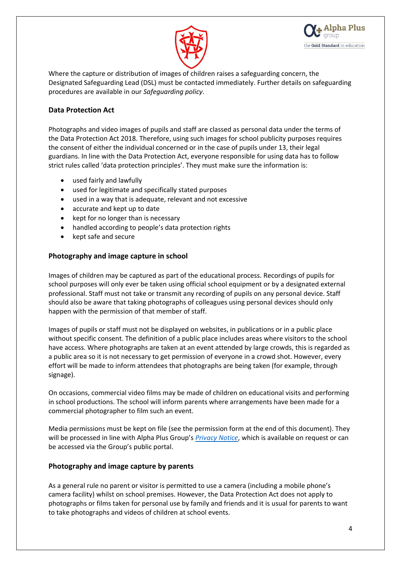



Where the capture or distribution of images of children raises a safeguarding concern, the Designated Safeguarding Lead (DSL) must be contacted immediately. Further details on safeguarding procedures are available in our *Safeguarding policy*.

#### **Data Protection Act**

Photographs and video images of pupils and staff are classed as personal data under the terms of the Data Protection Act 2018. Therefore, using such images for school publicity purposes requires the consent of either the individual concerned or in the case of pupils under 13, their legal guardians. In line with the Data Protection Act, everyone responsible for using data has to follow strict rules called 'data protection principles'. They must make sure the information is:

- used fairly and lawfully
- used for legitimate and specifically stated purposes
- used in a way that is adequate, relevant and not excessive
- accurate and kept up to date
- kept for no longer than is necessary
- handled according to people's data protection rights
- kept safe and secure

#### **Photography and image capture in school**

Images of children may be captured as part of the educational process. Recordings of pupils for school purposes will only ever be taken using official school equipment or by a designated external professional. Staff must not take or transmit any recording of pupils on any personal device. Staff should also be aware that taking photographs of colleagues using personal devices should only happen with the permission of that member of staff.

Images of pupils or staff must not be displayed on websites, in publications or in a public place without specific consent. The definition of a public place includes areas where visitors to the school have access. Where photographs are taken at an event attended by large crowds, this is regarded as a public area so it is not necessary to get permission of everyone in a crowd shot. However, every effort will be made to inform attendees that photographs are being taken (for example, through signage).

On occasions, commercial video films may be made of children on educational visits and performing in school productions. The school will inform parents where arrangements have been made for a commercial photographer to film such an event.

Media permissions must be kept on file (see the permission form at the end of this document). They will be processed in line with Alpha Plus Group's *[Privacy Notice](https://public-egiportal.alphaplusgroup.co.uk/Alpha%20Plus%20Group%20Documents/Privacy%20Policy%20for%20Students%20and%20Parents.pdf)*, which is available on request or can be accessed via the Group's public portal.

#### **Photography and image capture by parents**

As a general rule no parent or visitor is permitted to use a camera (including a mobile phone's camera facility) whilst on school premises. However, the Data Protection Act does not apply to photographs or films taken for personal use by family and friends and it is usual for parents to want to take photographs and videos of children at school events.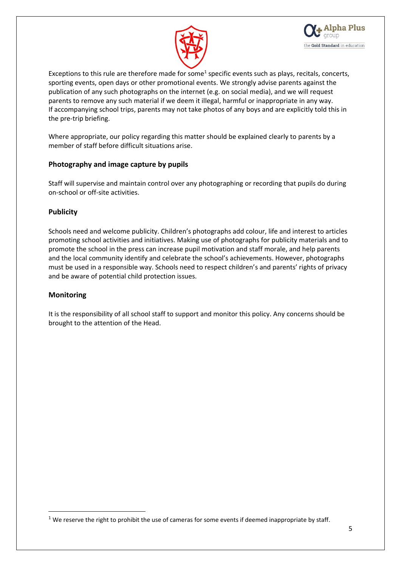



Exceptions to this rule are therefore made for some<sup>1</sup> specific events such as plays, recitals, concerts, sporting events, open days or other promotional events. We strongly advise parents against the publication of any such photographs on the internet (e.g. on social media), and we will request parents to remove any such material if we deem it illegal, harmful or inappropriate in any way. If accompanying school trips, parents may not take photos of any boys and are explicitly told this in the pre-trip briefing.

Where appropriate, our policy regarding this matter should be explained clearly to parents by a member of staff before difficult situations arise.

#### **Photography and image capture by pupils**

Staff will supervise and maintain control over any photographing or recording that pupils do during on-school or off-site activities.

#### **Publicity**

Schools need and welcome publicity. Children's photographs add colour, life and interest to articles promoting school activities and initiatives. Making use of photographs for publicity materials and to promote the school in the press can increase pupil motivation and staff morale, and help parents and the local community identify and celebrate the school's achievements. However, photographs must be used in a responsible way. Schools need to respect children's and parents' rights of privacy and be aware of potential child protection issues.

#### **Monitoring**

1

It is the responsibility of all school staff to support and monitor this policy. Any concerns should be brought to the attention of the Head.

 $1$  We reserve the right to prohibit the use of cameras for some events if deemed inappropriate by staff.